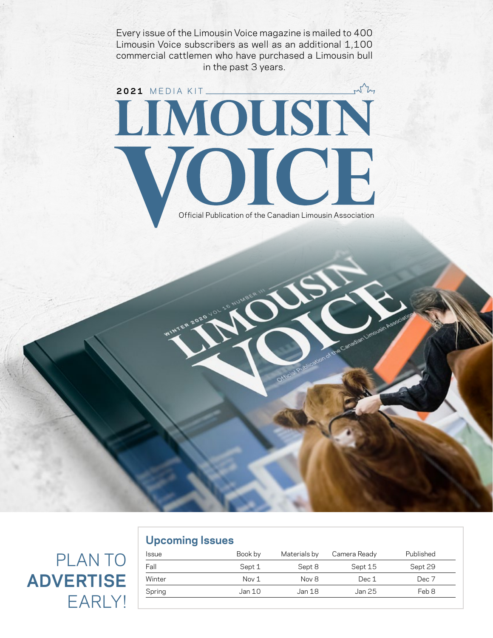Every issue of the Limousin Voice magazine is mailed to 400 Limousin Voice subscribers as well as an additional 1,100 commercial cattlemen who have purchased a Limousin bull in the past 3 years.

# why **2021 MEDIA KIT** VOICE Official Publication of the Canadian Limousin Association

## PLAN TO **ADVERTISE** EARLY!

| <b>Provincial Provider</b> |         |              |              |           |
|----------------------------|---------|--------------|--------------|-----------|
| <b>Issue</b>               | Book by | Materials by | Camera Ready | Published |
| Fall                       | Sept 1  | Sept 8       | Sept 15      | Sept 29   |
| Winter                     | Nov 1   | Nov 8        | Dec 1        | Dec 7     |
| Spring                     | Jan 10  | Jan 18       | Jan 25       | Feb 8     |
|                            |         |              |              |           |

**Upcoming Issues**